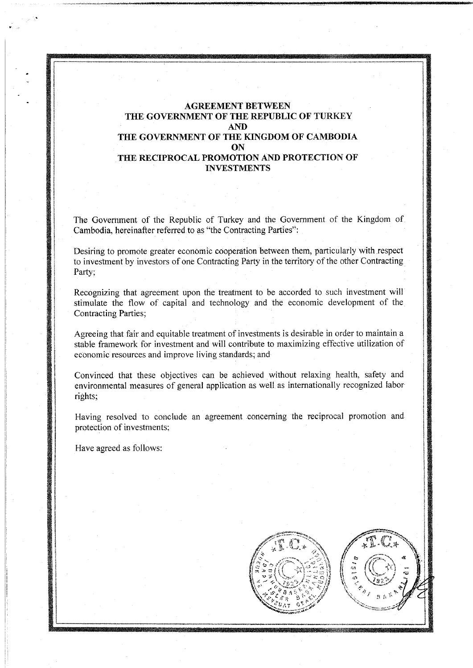# AGREEMENT BETWEEN THE GOVERNMENT OF THE REPUBLIC OF TURKEY AND THE GOVERNMENT OF THE KINGDOM OF CAMBODIA ON THE RECIPROCAL PROMOTION AND PROTECTION OF INVESTMENTS

The Government of the Republic of Turkey and the Government of the Kingdom of Cambodia, hereinafter referred to as ''the Contracting Parties":

Desiring to promote greater economic cooperation between them, particularly with respect to investment by investors of one Contracting Party in the territory of the other Contracting Party;

Recognizing that agreement upon the treatment to be accorded to such investment will stimulate the flow of capital and technology and the economic development of the Contracting Parties;

Agreeing that fair and equitable treatment of investments is desirable in order to maintain a stable framework for investment and will contribute to maximizing effective utilization of economic resources and improve living standards; and

Convinced that these objectives can be achieved without relaxing health, safety and environmental measures of general application as well as internationally recognized labor rights;

Having resolved to conclude an agreement concerning the reciprocal promotion and protection of investments;

Have agreed as follows:

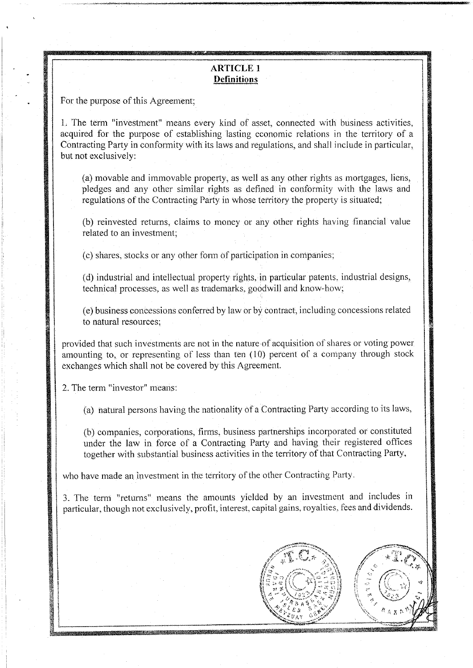# **ARTICLE 1 Definitions**

For the purpose of this Agreement;

L The term "investment" means every kind of asset, connected with business activities, acquired for the purpose of establishing lasting economic relations in the territory of a Contracting Party in conformity with its laws and regulations, and shall include in particular, but not exclusively:

(a) movable and immovable property, as well as any other rights as mortgages, liens, pledges and any other similar rights as defined in conformity with the laws and regulations of the Contracting Party in whose territory the property is situated;

(b) reinvested returns, claims to money or any other rights having financial value related to an investment;

(c) shares, stocks or any other form of participation in companies;

(d) industrial and intellectual property rights, in particular patents. industrial designs, technical processes, as well as trademarks, goodwill and know-how;

(e) business concessions conferred by law or by contract, including concessions related to natural resources;

provided that such investments are not in the nature of acquisition of shares or voting power amounting to, or representing of less than ten  $(10)$  percent of a company through stock exchanges which shall not be covered by this Agreement.

2. The tenn "investor" means:

(a) natural persons having the nationality of a Contracting Party according to its laws,

(b) companies, corporations, firms, business partnerships incorporated or constituted under the law in force of a Contracting Party and having their registered offices together with substantial business activities in the territory of that Contracting Party,

who have made an investment in the territory of the other Contracting Party.

3. The term "returns" means the amounts yielded by an investment and includes in particular, though not exclusively, profit, interest, capital gains, royalties, fees and dividends.

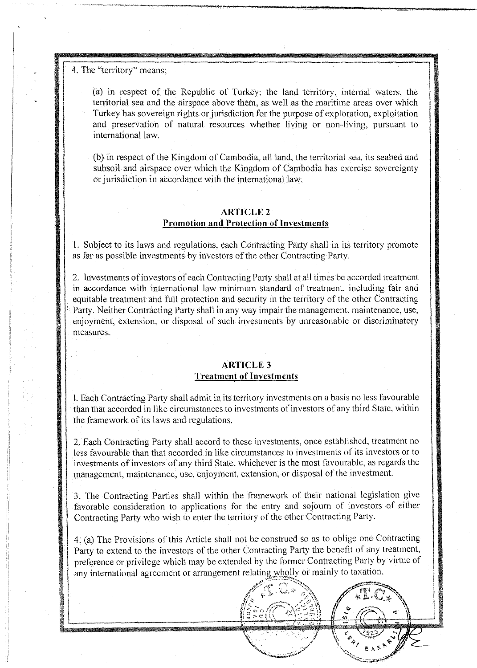4. The "tenitory" means;

(a) in respect of the Republic of Turkey; the land territory, internal waters. the territorial sea and the airspace above them, as well as the maritime areas over which Turkey has sovereign rights or jurisdiction for the purpose of exploration, exploitation and preservation of natural resources whether living or non-living, pursuant to international law.

(b) in respect of the Kingdom of Cambodia, all land, the territorial sea, its seabed and subsoil and airspace over which the Kingdom of Cambodia has exercise sovereignty or jurisdiction in accordance with the international Jaw.

# **ARTICLE 2 Promotion and Protection of Investments**

1. Subject to its laws and regulations, each Contracting Party shall in its territory promote as far as possible investments by investors of the other Contracting Party.

2. Investments of investors of each Contracting Party shall at all times be accorded treatment in accordance with international law minimum standard of treatment, including fair and equitable treatment and full protection and security in the territory of the other Contracting Party. Neither Contracting Party shall in any way impair the management, maintenance, use, enjoyment, extension, or disposal of such investments by unreasonable or discriminatory measures.

## **ARTICLE 3 Treatment of Investments**

I. Each Contracting Party shall admit in its territory investments on a basis no less favourable than that accorded in like circumstances to investments of investors of any third State, within the framework of its laws and regulations.

2. Each Contracting Party shall accord to these investments, once established, treatment no less favomable than that accorded in like circumstances to investments of its investors or to investments of investors of any third State, whichever is the most favourable, as regards the management, maintenance, use, enjoyment, extension, or disposal of the investment.

3. The Contracting Parties shall within the framework of their national legislation give favorable consideration to applications for the entry and sojourn of investors of either Contracting Party who wish to enter the territory of the other Contracting Party.

4. (a) The Provisions of this Article shall not be construed so as to oblige one Contracting Party to extend to the investors of the other Contracting Party the benefit of any treatment, preference or privilege which may be extended by the former Contracting Party by virtue of any international agreement or arrangement relating wholly or mainly to taxation.

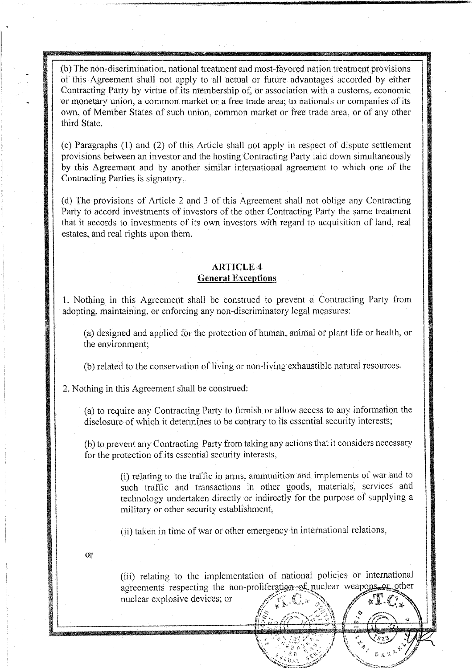(b) The non-discrimination, national treatment and most-favored nation treatment provisions <sup>1</sup> of this Agreement shall not apply to all actual or future advantages accorded by either Contracting Party by virtue of its membership of, or association with a customs, economic or monetary union, a common market or a free trade area; to nationals or companies of its own, of Member States of such union, common market or free trade area, or of any other third State.

1'

(c) Paragraphs (I) and (2) of this Article shall not apply in respect of dispute settlement provisions between an investor and the hosting Contracting Party laid down simultaneously by this Agreement and by another similar international agreement to which one of the Contracting Parties is signatory.

(d) The ptovisions of Article 2 and 3 of this Agreement shall not oblige any Contracting Party to accord investments of investors of the other Contracting Party the same treatment that it accords to investments of its own investors with regard to acquisition of land, real estates, and real rights upon them.

## **ARTICLE4 General Exceptions**

1. Nothing in this Agreement shall be construed to prevent a Contracting Party from adopting, maintaining, or enforcing any non-discriminatory legal measures:

(a) designed and applied for the protection of human, animal or plant life or health, or the environment;

(b) related to the conservation of living or non-living exhaustible natural resources.

2. Nothing in this Agreement shall be construed:

(a) to require any Contracting Party to furnish or allow access to any information the disclosure of which it determines to be contrary to its essential security interests;

(b) to prevent any Contracting Party from taking any actions that it considers necessary for the protection of its essential security interests,

> (i) relating to the traffic in arms, ammunition and implements of war and to such traffic and transactions in other goods, materials, services and technology undertaken directly or indirectly for the purpose of supplying a military or other security establishment,

(ii) taken in time of war or other emergency in international relations,

or

I

I  $\overline{\mathsf{L}}$ 

(iii) relating to the implementation of national policies or international agreements respecting the non-proliferation of nuclear weapons or other nuclear explosive devices; or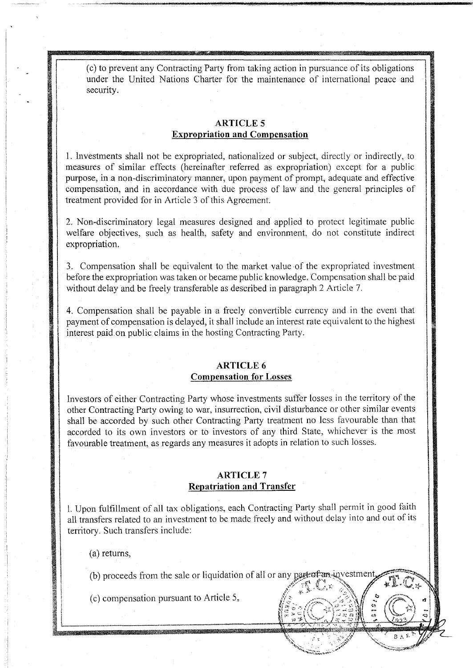$(c)$  to prevent any Contracting Party from taking action in pursuance of its obligations under the United Nations Charter for the maintenance of international peace and security.

I

 $\mathbf{z}_{\mathbf{z}}$ 

## **ARTICLES Expropriation and Compensation**

1. Investments shall not be expropriated, nationalized or subject, directly or indirectly, to measures of similar effects (hereinafter referred as expropriation) except for a public purpose, in a non-discriminatory manner, upon payment of prompt, adequate and effective compensation, and in accordance with due process of law and the general principles of treatment provided for in Article 3 of this Agreement.

2. Non-discriminatory legal measures designed and applied to protect legitimate public welfare objectives, such as health, safety and environment, do not constitute indirect expropriation,

3. Compensation shall be equivalent to the market value of the expropriated investment before the expropriation was taken or became public knowledge. Compensation shall be paid without delay and be freely transferable as described in paragraph 2 Article 7.

4. Compensation shall be payable in a freely convertible currency and in the event that payment of compensation is delayed, it shall include an interest rate equivalent to the highest interest paid on public claims in the hosting Contracting Party.

#### **ARTICLE6 Compensation for Losses**

Investors of either Contracting Party whose investments sutier losses in the territory of the other Contracting Party owing to war, insurrection, civil disturbance or other similar events shall be accorded by such other Contracting Party treatment no less favourable than that accorded to its own investors or to investors of any third State, whichever is the most favourable treatment, as regards any measures it adopts in relation to such losses.

#### **ARTICLE 7 Repatriation and Transfer**

l. Upon fulfillment of all tax obligations, each Contracting Party shall permit in good faith all transfers related to an investment to be made freely and without delay into and out of its territory. Such transfers include:

(a) returns,

(b) proceeds from the sale or liquidation of all or any part of an investment

(c) compensation pursuant to Article  $5$ ,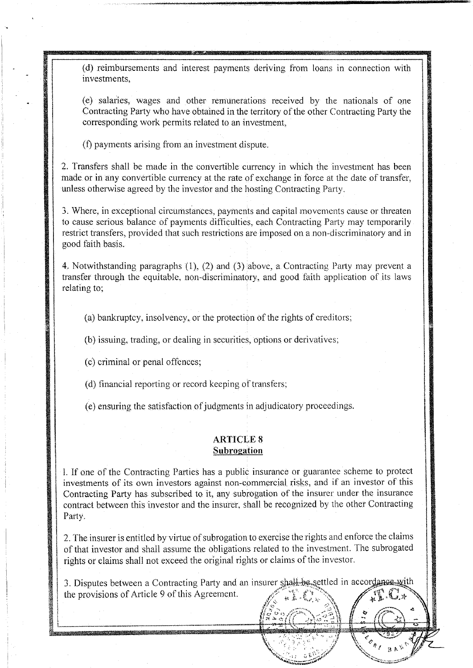(d) reimbursements and interest payments deriving from loans in connection with investments,

(e) salaries, wages and other remunerations received by the nationals of one Contracting Party who have obtained in the territory of the other Contracting Party the corresponding work permits related to an investment,

(t) payments arising from an investment dispute.

2. Transfers shall be made in the convertible currency in which the investment has been made or in any convertible currency at the rate of exchange in force at the date of transfer, tmless otherwise agreed by the investor and the hosting Contracting Party.

3. Where, in exceptional circumstances, payments and capital movements cause or threaten to cause serious balance of payments difficulties, each Contracting Party may temporarily restrict transfers, provided that such restrictions are imposed on a non-discriminatory and in good faith basis.

4. Notwithstanding paragraphs  $(1)$ ,  $(2)$  and  $(3)$  above, a Contracting Party may prevent a transfer through the equitable, non-discriminatory, and good faith application of its laws relating to;

(a) bankruptcy, insolvency, or the protection of the rights of creditors;

(b) issuing, trading, or dealing in securities, options or derivatives;

(c) criminal or penal offences;

(d) financial reporting or record keeping of transfers;

(e) ensuring the satisfaction of judgments in adjudicatory proceedings.

# **ARTICLE 8**

**Subrogation** 

I. If one of the Contracting Parties has a public insurance or guarantee scheme to protect investments of its own investors against non-commercial risks, and if an investor of this Contracting Party has subscribed to it, any subrogation of the insurer under the insurance contract between this investor and the insurer, shall be recognized by the other Contracting Party.

2. The insurer is entitled by virtue of subrogation to exercise the rights and enforce the claims of that investor and shall assume the obligations related to the investment. The subrogated rights or claims shall not exceed the original rights or claims of the investor.

3. Disputes between a Contracting Party and an insurer shall be settled in accordance with the provisions of Article 9 of this Agreement.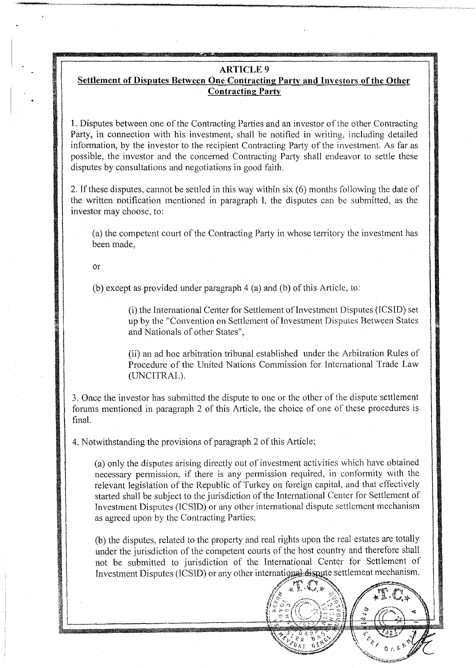#### **ARTICLE9**

# **Settlement of Disputes Between One Contracting Party and Investors of the Other Contracting Party**

1. Disputes between one of the Contracting Parties and an investor of the other Contracting Party, in connection with his investment, shall be notified in writing, including detailed information, by the investor to the recipient Contracting Party of the investment. As far as possible, the investor and the concerned Contracting Party shall endeavor to settle these disputes by consultations and negotiations in good faith.

2. If these disputes, cannot be settled in this way within six (6) months following the date of the written notification mentioned in paragraph I, the disputes can be submitted, as the investor may choose, to:

(a) the competent court of the Contracting Party in whose territory the investment has been made,

or

(b) except as provided under paragraph 4 (a) and (b) of this. Article. to:

(i) the International Center for Settlement of Investment Disputes (ICSID) set up by the "Convention on Settlement of Investment Disputes Between States and Nationals of other States",

(ii) an ad hoc arbitration tribunal established under the Arbitration Rules of Procedure of the United Nations Commission for International Trade Law (UNCITRAL).

3. Once the investor has submitted the dispute to one or the other of the dispute settlement forums mentioned in paragraph 2 of this Article, the choice of one of these procedures is final.

4. Notwithstanding the provisions of paragraph 2 of this Article;

(a) only the disputes arising directly out of investment activities which have obtained necessary permission, if there is any permission required, in conformity with the relevant legislation of the Republic of Turkey on foreign capital, and that effectively started shall be subject to the jurisdiction of the International Center for Settlement of Investment Disputes (ICSID) or any other international dispute settlement mechanism as agreed upon by the Contracting Parties;

(b) the disputes, related to the property and real rights upon the real estates are totally under the jurisdiction of the competent courts of the host country and therefore shall not be submitted to jurisdiction of the International Center for Settlement of Investment Disputes (ICSID) or any other international dispute settlement mechanism.

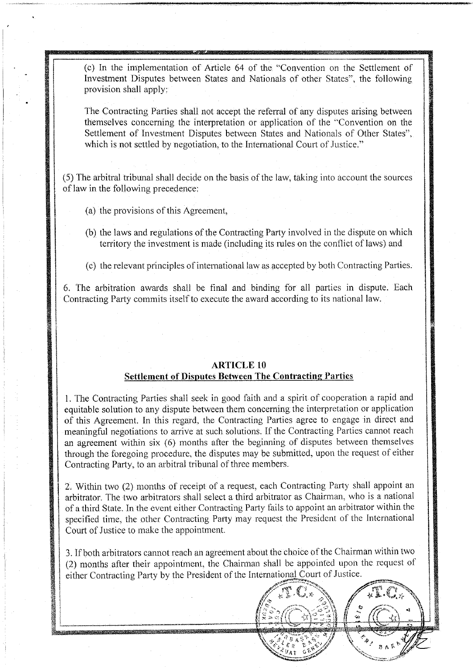(c) In the implementation of Article 64 of the "Convention on the Settlement of Investment Disputes between States and Nationals of other States", the following provision shall apply:

The Contracting Parties shall not accept the referral of any disputes arising between themselves concerning the interpretation or application of the "Convention on the Settlement of Investment Disputes between States and Nationals of Other States", which is not settled by negotiation, to the International Court of Justice."

(5) The arbitral tribunal shall decide on the basis of the law, taking into account the sources of law in the following precedence:

- (a) the provisions of this Agreement,
- (b) the laws and regulations of the Contracting Party involved in the dispute on which territory the investment is made (including its rules on the conflict of laws} and
- (c) the relevant principles of international law as accepted by both Contracting Parties.

6. The arbitration awmds shall be final and binding for all parties in dispute. Each Contracting Party commits itself to execute the award according to its national law.

# **ARTICLE 10 Settlement of Disputes Between The Contracting Parties**

l. The Contracting Parties shall seek in good faith and a spirit of cooperation a rapid and equitable solution to any dispute between them concerning the interpretation or application of this Agreement. In this regard, the Contracting Parties agree to engage in direct and meaningful negotiations to arrive at such solutions. If the Contracting Parties cannot reach an agreement within six (6) months after the beginning of disputes between themselves through the foregoing procedure, the disputes may be submitted, upon the request of either Contracting Party, to an arbitral tribunal of three members.

2. Within two (2) months of receipt of a request, each Contracting Party shall appoint an arbitrator. The two arbitrators shall select a third arbitrator as Chairman, who is a national of a third State. In the event either Contracting Party fails to appoint an arbitrator within the specified time, the other Contracting Party may request the President of the International Court of Justice to make the appointment.

3. If both arbitrators cannot reach an agreement about the choice of the Chairman within two (2) months after their appointment, the Chairman shall be appointed upon the request of either Contracting Party by the President of the International Court of Justice.

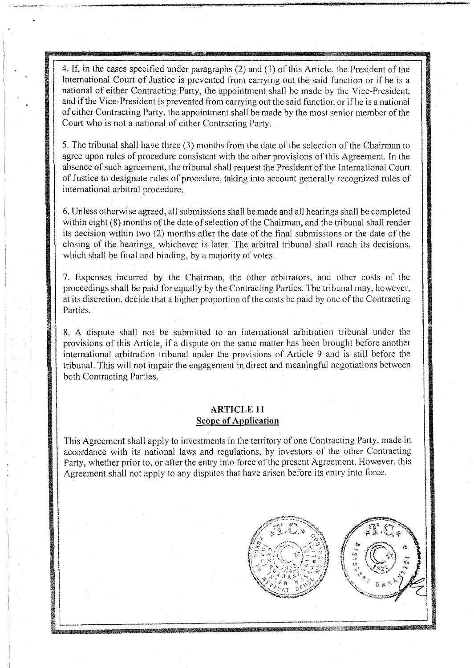4. If, in the cases specified under paragraphs (2) and (3) of this Article, the President of the International Court of Justice is prevented from carrying out the said function or if he is a national of either Contracting Party, the appointment shall be made by the Vice-President, and if the Vice-President is prevented from carrying out the said function or if he is a national of either Contracting Party, the appointment shall be made by the most senior member of the Court who is not a national of either Contracting Party.

5. The tribunal shall have three (3) months from the date of the selection of the Chairman to agree upon rules of procedure consistent with the other provisions of this Agreement. In the absence of such agreement, the tribunal shall request the President of the International Court of Justice to designate rules of procedure, taking into account generally recognized rules of international arbitral procedure.

6. Unless otherwise agreed, all submissions shall be made and all hearings shall be completed within eight (8) months of the date of selection of the Chairman, and the tribunal shall render its decision within two (2) months after the date of the final submissions or the date of the closing of the hearings, whichever is later. The arbitral tribunal shall reach its decisions, which shall be final and binding, by a majority of votes.

7. Expenses incurred by the Chairman, the other arbitrators, and other costs of the proceedings shall be paid for equally by the Contracting Parties. The tribunal may, however, at its discretion, decide that a higher proportion of the costs be paid by one of the Contracting Parties.

8. A dispute shall not be submitted to an international arbitration tribunal under the provisions of this Article, if a dispute on the same matter has been brought before another international arbitration tribunal under the provisions of Article 9 and is still. before the tribunal. This will not impair the engagement in direct and meaningful negotiations between both Contracting Parties.

## **ARTICLE 11 Scope of Application**

This Agreement shall apply to investments in the territory of one Contracting Party, made in accordance with its national laws and regulations, by investors of the other Contracting Party, whether prior to, or after the entry into force of the present Agreement. However, this Agreement shall not apply to any disputes that have arisen before its entry into force.